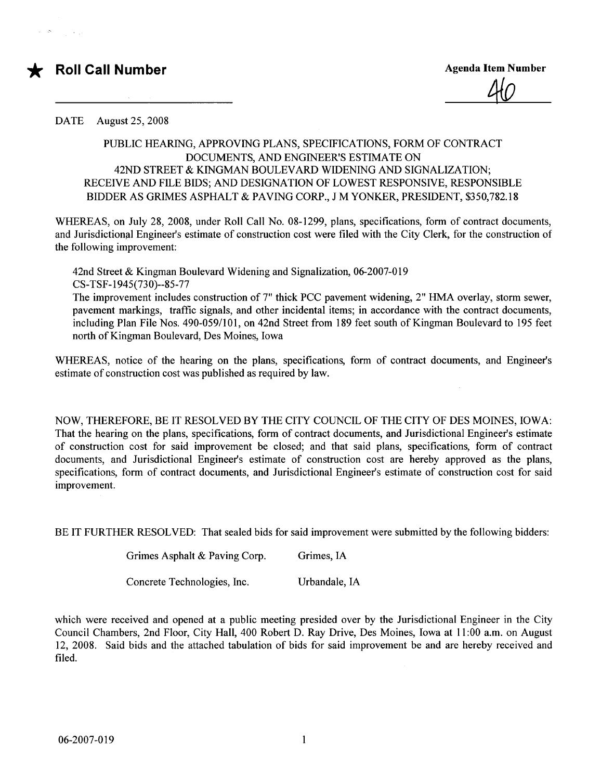## \* Roll Call Number Agenda Item Number Agenda Item Number

40

DATE August 25, 2008

## PUBLIC HEARIG, APPROVING PLANS, SPECIFICATIONS, FORM OF CONTRACT DOCUMENTS, AND ENGINEER'S ESTIMATE ON 42ND STREET & KINGMAN BOULEVARD WIDENING AND SIGNALIZATION; RECEIVE AND FILE BIDS; AND DESIGNATION OF LOWEST RESPONSIVE, RESPONSIBLE BIDDER AS GRIMES ASPHALT & PAVING CORP., J M YONKER, PRESIDENT, \$350,782.18

WHEREAS, on July 28, 2008, under Roll Call No. 08-1299, plans, specifications, form of contract documents, and Jurisdictional Engineer's estimate of construction cost were filed with the City Clerk, for the construction of the following improvement:

42nd Street & Kingman Boulevard Widening and Signalization, 06-2007-019 CS- TSF-1945(730)--85-77

The improvement includes construction of 7" thick PCC pavement widening, 2" HMA overlay, storm sewer, pavement markings, traffic signals, and other incidental items; in accordance with the contract documents, including Plan File Nos. 490-059/101, on 42nd Street from 189 feet south of Kingman Boulevard to 195 feet north of Kingman Boulevard, Des Moines, Iowa

WHREAS, notice of the hearing on the plans, specifications, form of contract documents, and Engineer's estimate of construction cost was published as required by law.

NOW, THEREFORE, BE IT RESOLVED BY THE CITY COUNCIL OF THE CITY OF DES MOINES, iow A: That the hearing on the plans, specifications, form of contract documents, and Jurisdictional Engineer's estimate of construction cost for said improvement be closed; and that said plans, specifications, form of contract documents, and Jurisdictional Engineer's estimate of construction cost are hereby approved as the plans, specifications, form of contract documents, and Jurisdictional Engineer's estimate of construction cost for said improvement.

BE IT FURTHER RESOLVED: That sealed bids for said improvement were submitted by the following bidders:

| Grimes Asphalt & Paving Corp. | Grimes, IA |
|-------------------------------|------------|
|-------------------------------|------------|

Concrete Technologies, Inc. Urbandale, IA

which were received and opened at a public meeting presided over by the Jurisdictional Engineer in the City Council Chambers, 2nd Floor, City Hall, 400 Robert D. Ray Drive, Des Moines, Iowa at 11 :00 a.m. on August 12, 2008. Said bids and the attached tabulation of bids for said improvement be and are hereby received and filed.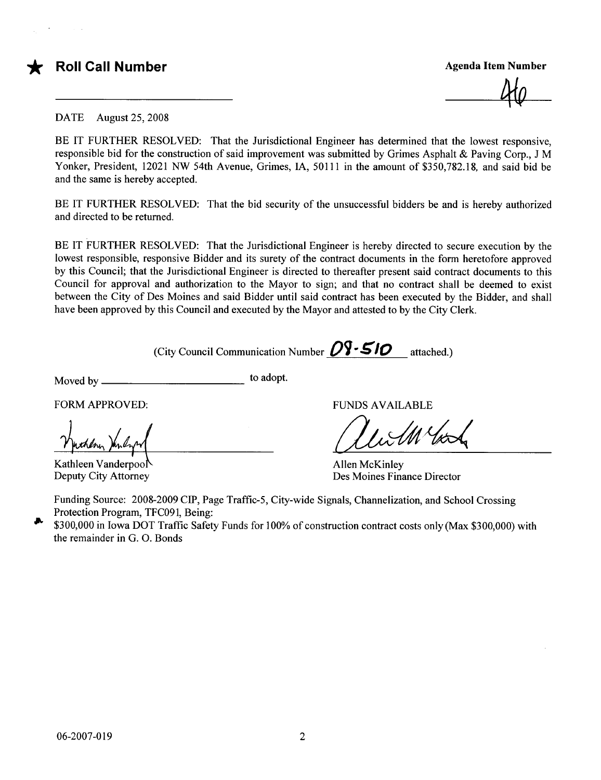

## **FROII Call Number Agenda Item Number Agenda Item Number** Agenda Item Number

......<br>40

DATE August 25, 2008

BE IT FURTHER RESOLVED: That the Jurisdictional Engineer has determined that the lowest responsive, responsible bid for the construction of said improvement was submitted by Grimes Asphalt & Paving Corp., J M Yonker, President, 12021 NW 54th Avenue, Grimes, IA, 50111 in the amount of \$350,782.18, and said bid be and the same is hereby accepted.

BE IT FURTHER RESOLVED: That the bid security of the unsuccessful bidders be and is hereby authorized and directed to be returned.

BE IT FURTHER RESOLVED: That the Jurisdictional Engineer is hereby directed to secure execution by the lowest responsible, responsive Bidder and its surety of the contract documents in the form heretofore approved by this Council; that the Jurisdictional Engineer is directed to thereafter present said contract documents to this Council for approval and authorization to the Mayor to sign; and that no contract shall be deemed to exist between the City of Des Moines and said Bidder until said contract has been executed by the Bidder, and shall have been approved by this Council and executed by the Mayor and attested to by the City Clerk.

(City Council Communication Number  $\mathcal{O} \mathcal{V}$  -  $\leq I \mathcal{O}$  attached.)

Moved by to adopt.

Kathleen Vanderpool Deputy City Attorney

FORM APPROVED: THE PUNDS AVAILABLE

allen McKinley

Allen McKinley Des Moines Finance Director

Funding Source: 2008-2009 CIP, Page Traffic-5, City-wide Signals, Channelization, and School Crossing Protection Program, TFC091, Being:

<sup>1</sup> \$300,000 in Iowa DOT Traffic Safety Funds for 100% of construction contract costs only (Max \$300,000) with the remainder in G. O. Bonds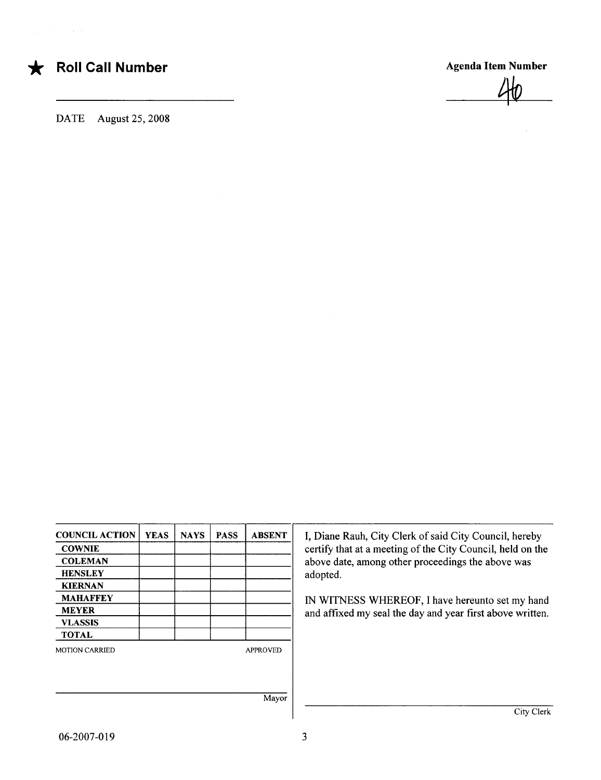$\sim 10^{-1}$ 

## \* Roll Call Number Agenda Item Number

DATE August 25, 2008

 $40$ 

COUNCIL ACTION YEAS | NAYS | PASS | ABSENT | I, Diane Rauh, City Clerk of said City Council, hereby KIERNAN MAHAFFEY IM WITNESS WHEREOF, I have hereunto set my hand<br>MEYER and affixed my seal the day and year first above written VLASSIS TOTAL MOTION CARRIED APPROVED Mayor

COWNIE COUNTER COUNTER COUNTER COUNTER COUNTER COUNTER COUNTER COUNTER COUNTER COUNTER COUNTER COUNTER COUNTER COUNTER AND A SERVICE OF A SERVICE OF A SERVICE OF A SERVICE OF A SERVICE OF A SERVICE OF A SERVICE OF A SERVIC COLEMAN RENSLEY above date, among other proceedings the above was adopted. adopted.

and affixed my seal the day and year first above written.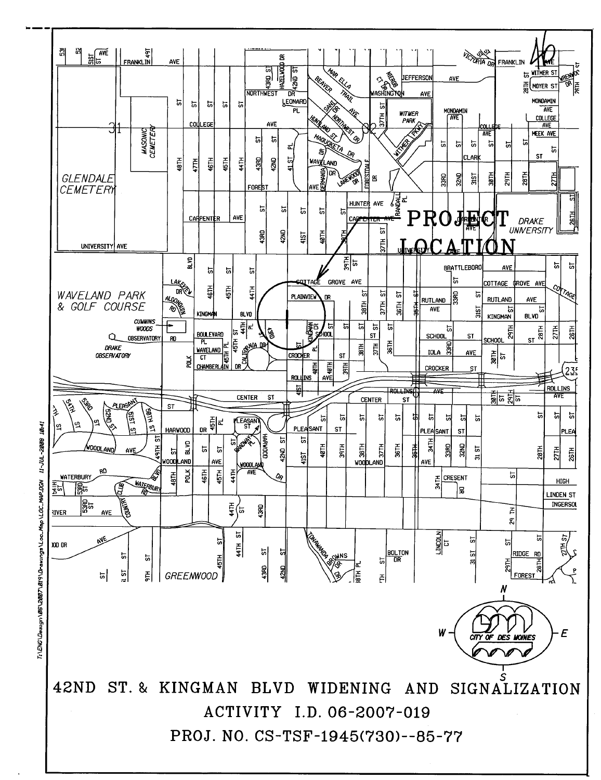